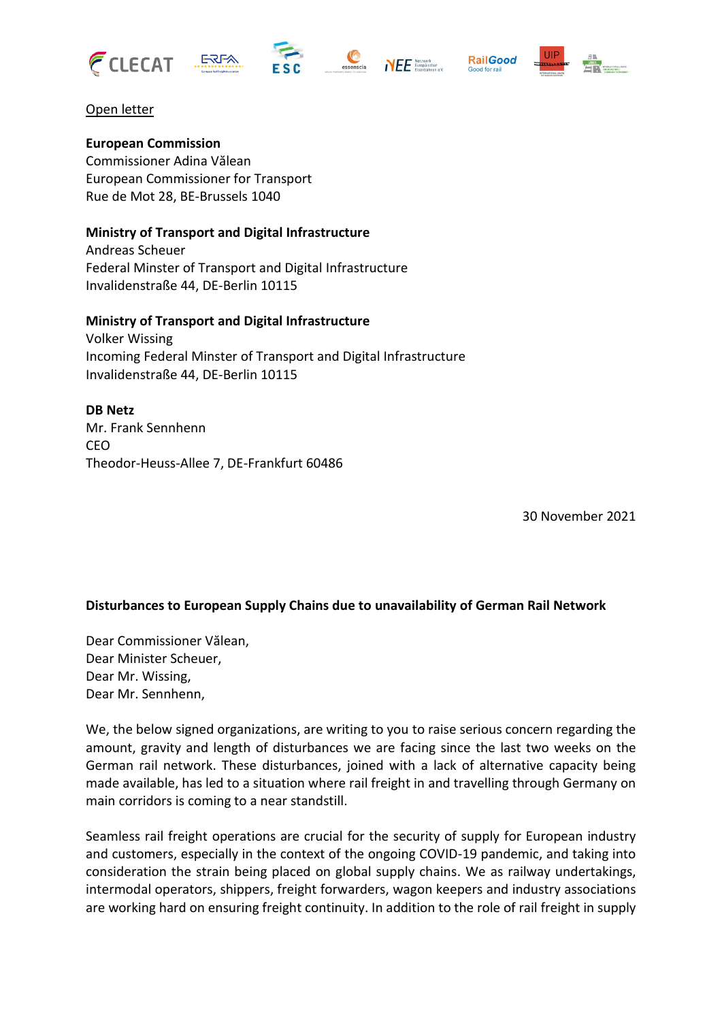









## Open letter

**European Commission** Commissioner Adina Vălean European Commissioner for Transport Rue de Mot 28, BE-Brussels 1040

## **Ministry of Transport and Digital Infrastructure**

Andreas Scheuer Federal Minster of Transport and Digital Infrastructure Invalidenstraße 44, DE-Berlin 10115

#### **Ministry of Transport and Digital Infrastructure**

Volker Wissing Incoming Federal Minster of Transport and Digital Infrastructure Invalidenstraße 44, DE-Berlin 10115

#### **DB Netz**

Mr. Frank Sennhenn CEO Theodor-Heuss-Allee 7, DE-Frankfurt 60486

30 November 2021

# **Disturbances to European Supply Chains due to unavailability of German Rail Network**

Dear Commissioner Vălean, Dear Minister Scheuer, Dear Mr. Wissing, Dear Mr. Sennhenn,

We, the below signed organizations, are writing to you to raise serious concern regarding the amount, gravity and length of disturbances we are facing since the last two weeks on the German rail network. These disturbances, joined with a lack of alternative capacity being made available, has led to a situation where rail freight in and travelling through Germany on main corridors is coming to a near standstill.

Seamless rail freight operations are crucial for the security of supply for European industry and customers, especially in the context of the ongoing COVID-19 pandemic, and taking into consideration the strain being placed on global supply chains. We as railway undertakings, intermodal operators, shippers, freight forwarders, wagon keepers and industry associations are working hard on ensuring freight continuity. In addition to the role of rail freight in supply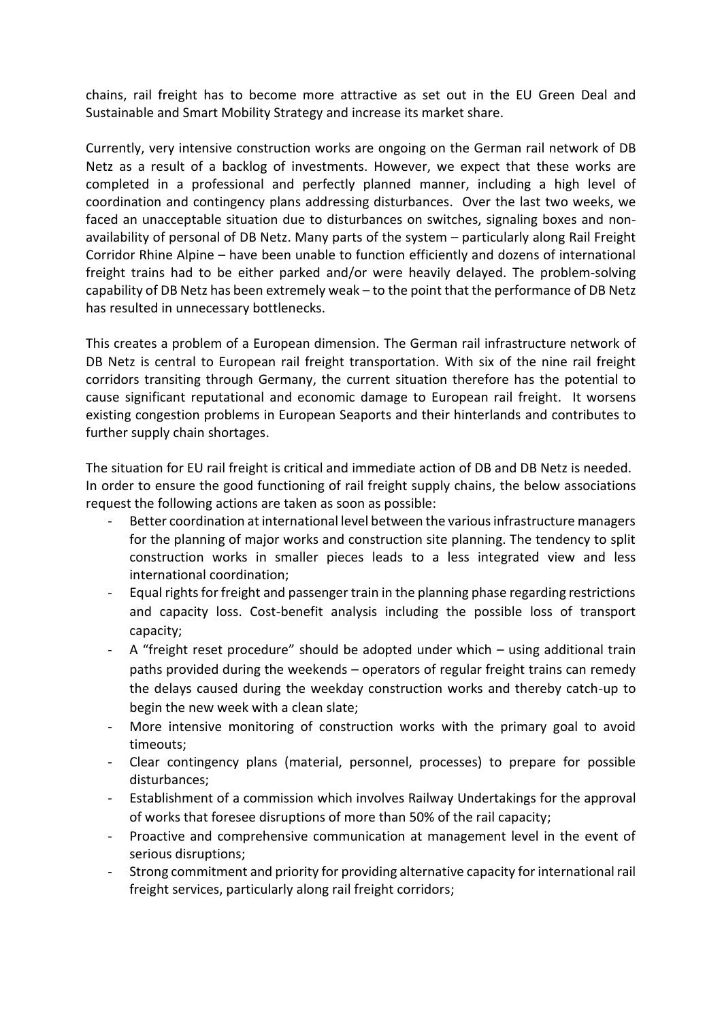chains, rail freight has to become more attractive as set out in the EU Green Deal and Sustainable and Smart Mobility Strategy and increase its market share.

Currently, very intensive construction works are ongoing on the German rail network of DB Netz as a result of a backlog of investments. However, we expect that these works are completed in a professional and perfectly planned manner, including a high level of coordination and contingency plans addressing disturbances. Over the last two weeks, we faced an unacceptable situation due to disturbances on switches, signaling boxes and nonavailability of personal of DB Netz. Many parts of the system – particularly along Rail Freight Corridor Rhine Alpine – have been unable to function efficiently and dozens of international freight trains had to be either parked and/or were heavily delayed. The problem-solving capability of DB Netz has been extremely weak – to the point that the performance of DB Netz has resulted in unnecessary bottlenecks.

This creates a problem of a European dimension. The German rail infrastructure network of DB Netz is central to European rail freight transportation. With six of the nine rail freight corridors transiting through Germany, the current situation therefore has the potential to cause significant reputational and economic damage to European rail freight. It worsens existing congestion problems in European Seaports and their hinterlands and contributes to further supply chain shortages.

The situation for EU rail freight is critical and immediate action of DB and DB Netz is needed. In order to ensure the good functioning of rail freight supply chains, the below associations request the following actions are taken as soon as possible:

- Better coordination at international level between the various infrastructure managers for the planning of major works and construction site planning. The tendency to split construction works in smaller pieces leads to a less integrated view and less international coordination;
- Equal rights for freight and passenger train in the planning phase regarding restrictions and capacity loss. Cost-benefit analysis including the possible loss of transport capacity;
- A "freight reset procedure" should be adopted under which using additional train paths provided during the weekends – operators of regular freight trains can remedy the delays caused during the weekday construction works and thereby catch-up to begin the new week with a clean slate;
- More intensive monitoring of construction works with the primary goal to avoid timeouts;
- Clear contingency plans (material, personnel, processes) to prepare for possible disturbances;
- Establishment of a commission which involves Railway Undertakings for the approval of works that foresee disruptions of more than 50% of the rail capacity;
- Proactive and comprehensive communication at management level in the event of serious disruptions;
- Strong commitment and priority for providing alternative capacity for international rail freight services, particularly along rail freight corridors;